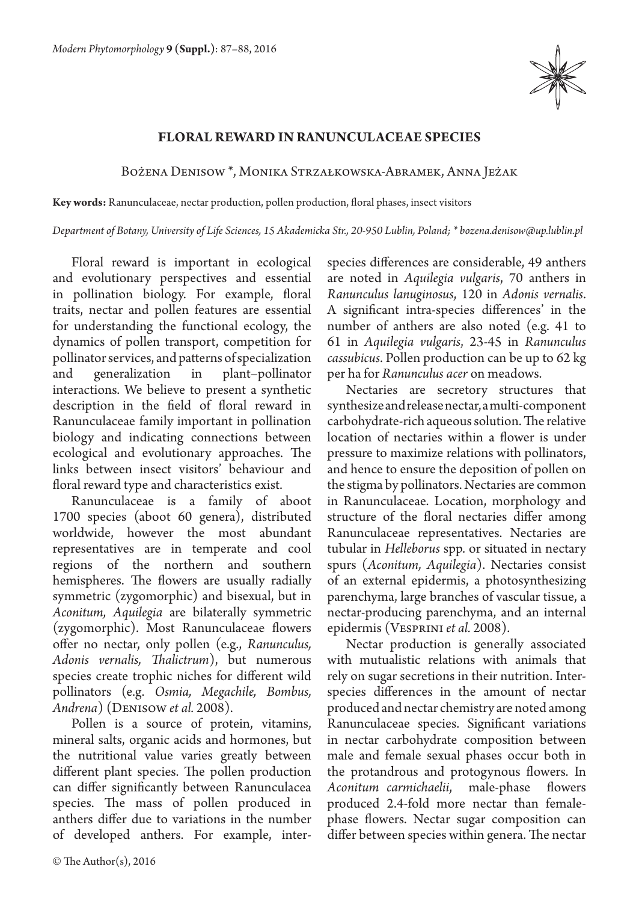

## **Floral reward in Ranunculaceae species**

## Bożena Denisow \*, Monika Strzałkowska-Abramek, Anna Jeżak

**Key words:** Ranunculaceae, nectar production, pollen production, floral phases, insect visitors

*Department of Botany, University of Life Sciences, 15 Akademicka Str., 20-950 Lublin, Poland; \* bozena.denisow@up.lublin.pl*

Floral reward is important in ecological and evolutionary perspectives and essential in pollination biology. For example, floral traits, nectar and pollen features are essential for understanding the functional ecology, the dynamics of pollen transport, competition for pollinator services, and patterns of specialization and generalization in plant–pollinator interactions. We believe to present a synthetic description in the field of floral reward in Ranunculaceae family important in pollination biology and indicating connections between ecological and evolutionary approaches. The links between insect visitors' behaviour and floral reward type and characteristics exist.

Ranunculaceae is a family of aboot 1700 species (aboot 60 genera), distributed worldwide, however the most abundant representatives are in temperate and cool regions of the northern and southern hemispheres. The flowers are usually radially symmetric (zygomorphic) and bisexual, but in *Aconitum, Aquilegia* are bilaterally symmetric (zygomorphic). Most Ranunculaceae flowers offer no nectar, only pollen (e.g., *Ranunculus, Adonis vernalis, Thalictrum*), but numerous species create trophic niches for different wild pollinators (e.g. *Osmia, Megachile, Bombus, Andrena*) (Denisow *et al.* 2008).

Pollen is a source of protein, vitamins, mineral salts, organic acids and hormones, but the nutritional value varies greatly between different plant species. The pollen production can differ significantly between Ranunculacea species. The mass of pollen produced in anthers differ due to variations in the number of developed anthers. For example, interspecies differences are considerable, 49 anthers are noted in *Aquilegia vulgaris*, 70 anthers in *Ranunculus lanuginosus*, 120 in *Adonis vernalis*. A significant intra-species differences' in the number of anthers are also noted (e.g. 41 to 61 in *Aquilegia vulgaris*, 23-45 in *Ranunculus cassubicus*. Pollen production can be up to 62 kg per ha for *Ranunculus acer* on meadows.

Nectaries are secretory structures that synthesize and release nectar, a multi-component carbohydrate-rich aqueous solution. The relative location of nectaries within a flower is under pressure to maximize relations with pollinators, and hence to ensure the deposition of pollen on the stigma by pollinators. Nectaries are common in Ranunculaceae. Location, morphology and structure of the floral nectaries differ among Ranunculaceae representatives. Nectaries are tubular in *Helleborus* spp. or situated in nectary spurs (*Aconitum, Aquilegia*). Nectaries consist of an external epidermis, a photosynthesizing parenchyma, large branches of vascular tissue, a nectar-producing parenchyma, and an internal epidermis (Vesprini *et al.* 2008).

Nectar production is generally associated with mutualistic relations with animals that rely on sugar secretions in their nutrition. Interspecies differences in the amount of nectar produced and nectar chemistry are noted among Ranunculaceae species. Significant variations in nectar carbohydrate composition between male and female sexual phases occur both in the protandrous and protogynous flowers. In *Aconitum carmichaelii*, male-phase flowers produced 2.4-fold more nectar than femalephase flowers. Nectar sugar composition can differ between species within genera. The nectar